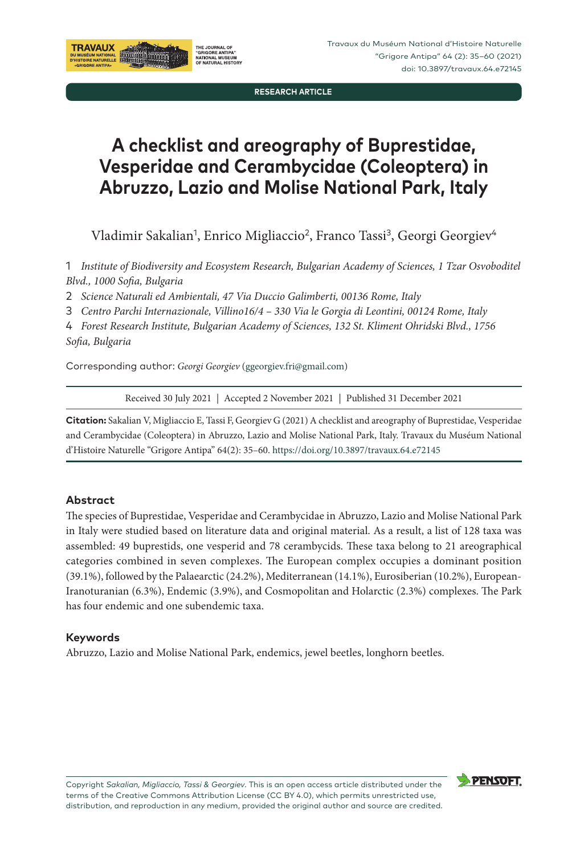**RESEARCH ARTICLE**

# **A checklist and areography of Buprestidae, Vesperidae and Cerambycidae (Coleoptera) in Abruzzo, Lazio and Molise National Park, Italy**

Vladimir Sakalian<sup>1</sup>, Enrico Migliaccio<sup>2</sup>, Franco Tassi<sup>3</sup>, Georgi Georgiev<sup>4</sup>

1 *Institute of Biodiversity and Ecosystem Research, Bulgarian Academy of Sciences, 1 Tzar Osvoboditel Blvd., 1000 Sofia, Bulgaria*

2 *Science Naturali ed Ambientali, 47 Via Duccio Galimberti, 00136 Rome, Italy*

3 *Centro Parchi Internazionale, Villino16/4 – 330 Via le Gorgia di Leontini, 00124 Rome, Italy*

4 *Forest Research Institute, Bulgarian Academy of Sciences, 132 St. Kliment Ohridski Blvd., 1756 Sofia, Bulgaria*

Corresponding author: *Georgi Georgiev* [\(ggeorgiev.fri@gmail.com](mailto:ggeorgiev.fri@gmail.com))

THE JOURNAL OF "GRIGORE ANTIPA"<br>"GRIGORE ANTIPA"<br>OF NATURAL HISTOR

Received 30 July 2021 | Accepted 2 November 2021 | Published 31 December 2021

**Citation:** Sakalian V, Migliaccio E, Tassi F, Georgiev G (2021) A checklist and areography of Buprestidae, Vesperidae and Cerambycidae (Coleoptera) in Abruzzo, Lazio and Molise National Park, Italy. Travaux du Muséum National d'Histoire Naturelle "Grigore Antipa" 64(2): 35–60. <https://doi.org/10.3897/travaux.64.e72145>

#### **Abstract**

**TRAVAUX** 

DU MUSÉUM NATIONA<br>D'HISTOIRE NATURELL

The species of Buprestidae, Vesperidae and Cerambycidae in Abruzzo, Lazio and Molise National Park in Italy were studied based on literature data and original material. As a result, a list of 128 taxa was assembled: 49 buprestids, one vesperid and 78 cerambycids. These taxa belong to 21 areographical categories combined in seven complexes. The European complex occupies a dominant position (39.1%), followed by the Palaearctic (24.2%), Mediterranean (14.1%), Eurosiberian (10.2%), European-Iranoturanian (6.3%), Endemic (3.9%), and Cosmopolitan and Holarctic (2.3%) complexes. The Park has four endemic and one subendemic taxa.

#### **Keywords**

Abruzzo, Lazio and Molise National Park, endemics, jewel beetles, longhorn beetles.



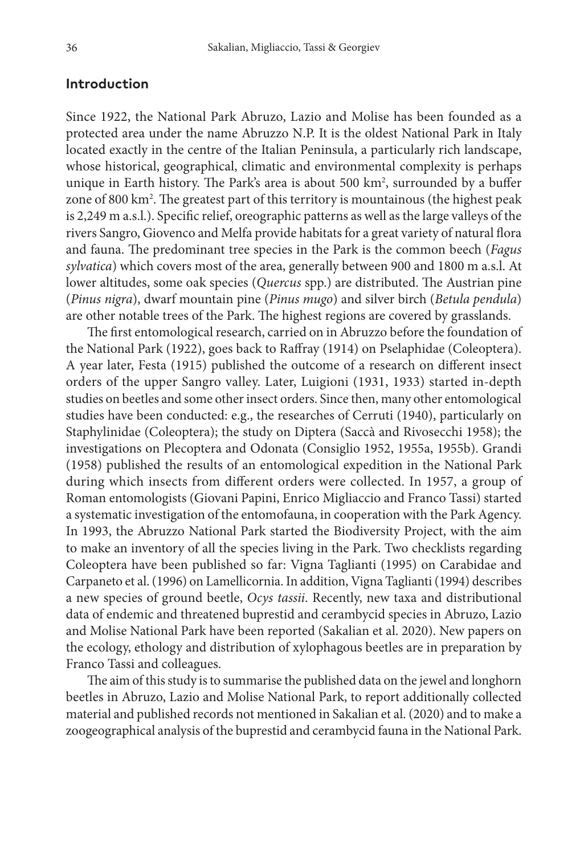#### **Introduction**

Since 1922, the National Park Abruzo, Lazio and Molise has been founded as a protected area under the name Abruzzo N.P. It is the oldest National Park in Italy located exactly in the centre of the Italian Peninsula, a particularly rich landscape, whose historical, geographical, climatic and environmental complexity is perhaps unique in Earth history. The Park's area is about 500 km2 , surrounded by a buffer zone of 800 km2 . The greatest part of this territory is mountainous (the highest peak is 2,249 m a.s.l.). Specific relief, oreographic patterns as well as the large valleys of the rivers Sangro, Giovenco and Melfa provide habitats for a great variety of natural flora and fauna. The predominant tree species in the Park is the common beech (*Fagus sylvatica*) which covers most of the area, generally between 900 and 1800 m a.s.l. At lower altitudes, some oak species (*Quercus* spp.) are distributed. The Austrian pine (*Pinus nigra*), dwarf mountain pine (*Pinus mugo*) and silver birch (*Betula pendula*) are other notable trees of the Park. The highest regions are covered by grasslands.

The first entomological research, carried on in Abruzzo before the foundation of the National Park (1922), goes back to Raffray (1914) on Pselaphidae (Coleoptera). A year later, Festa (1915) published the outcome of a research on different insect orders of the upper Sangro valley. Later, Luigioni (1931, 1933) started in-depth studies on beetles and some other insect orders. Since then, many other entomological studies have been conducted: e.g., the researches of Cerruti (1940), particularly on Staphylinidae (Coleoptera); the study on Diptera (Saccà and Rivosecchi 1958); the investigations on Plecoptera and Odonata (Consiglio 1952, 1955a, 1955b). Grandi (1958) published the results of an entomological expedition in the National Park during which insects from different orders were collected. In 1957, a group of Roman entomologists (Giovani Papini, Enrico Migliaccio and Franco Tassi) started a systematic investigation of the entomofauna, in cooperation with the Park Agency. In 1993, the Abruzzo National Park started the Biodiversity Project, with the aim to make an inventory of all the species living in the Park. Two checklists regarding Coleoptera have been published so far: Vigna Taglianti (1995) on Carabidae and Carpaneto et al. (1996) on Lamellicornia. In addition, Vigna Taglianti (1994) describes a new species of ground beetle, *Ocys tassii*. Recently, new taxa and distributional data of endemic and threatened buprestid and cerambycid species in Abruzo, Lazio and Molise National Park have been reported (Sakalian et al. 2020). New papers on the ecology, ethology and distribution of xylophagous beetles are in preparation by Franco Tassi and colleagues.

The aim of this study is to summarise the published data on the jewel and longhorn beetles in Abruzo, Lazio and Molise National Park, to report additionally collected material and published records not mentioned in Sakalian et al. (2020) and to make a zoogeographical analysis of the buprestid and cerambycid fauna in the National Park.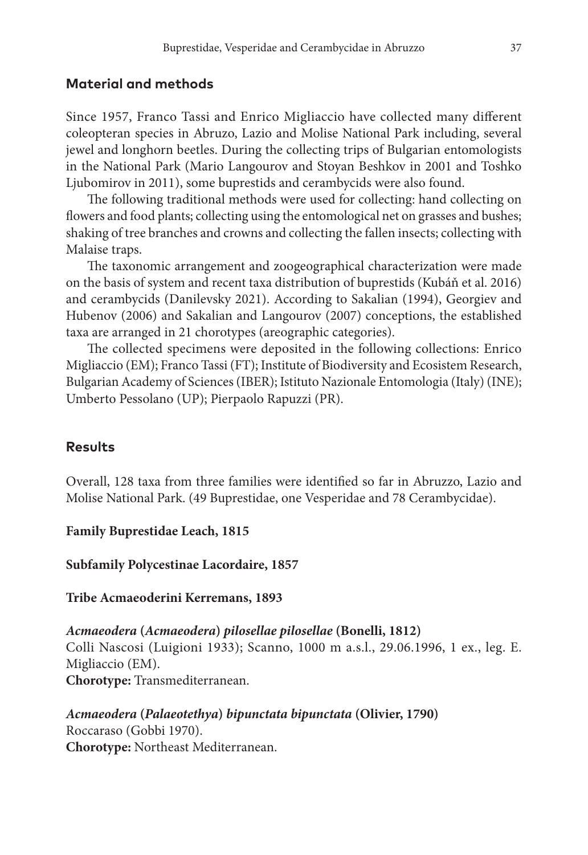#### **Material and methods**

Since 1957, Franco Tassi and Enrico Migliaccio have collected many different coleopteran species in Abruzo, Lazio and Molise National Park including, several jewel and longhorn beetles. During the collecting trips of Bulgarian entomologists in the National Park (Mario Langourov and Stoyan Beshkov in 2001 and Toshko Ljubomirov in 2011), some buprestids and cerambycids were also found.

The following traditional methods were used for collecting: hand collecting on flowers and food plants; collecting using the entomological net on grasses and bushes; shaking of tree branches and crowns and collecting the fallen insects; collecting with Malaise traps.

The taxonomic arrangement and zoogeographical characterization were made on the basis of system and recent taxa distribution of buprestids (Kubáň et al. 2016) and cerambycids (Danilevsky 2021). According to Sakalian (1994), Georgiev and Hubenov (2006) and Sakalian and Langourov (2007) conceptions, the established taxa are arranged in 21 chorotypes (areographic categories).

The collected specimens were deposited in the following collections: Enrico Migliaccio (EM); Franco Tassi (FT); Institute of Biodiversity and Ecosistem Research, Bulgarian Academy of Sciences (IBER); Istituto Nazionale Entomologia (Italy) (INE); Umberto Pessolano (UP); Pierpaolo Rapuzzi (PR).

#### **Results**

Overall, 128 taxa from three families were identified so far in Abruzzo, Lazio and Molise National Park. (49 Buprestidae, one Vesperidae and 78 Cerambycidae).

**Family Buprestidae Leach, 1815**

**Subfamily Polycestinae Lacordaire, 1857**

**Tribe Acmaeoderini Kerremans, 1893**

*Acmaeodera* **(***Acmaeodera***)** *pilosellae pilosellae* **(Bonelli, 1812)** Colli Nascosi (Luigioni 1933); Scanno, 1000 m a.s.l., 29.06.1996, 1 ex., leg. E. Migliaccio (EM). **Chorotype:** Transmediterranean.

*Acmaeodera* **(***Palaeotethya***)** *bipunctata bipunctata* **(Olivier, 1790)** Roccaraso (Gobbi 1970). **Chorotype:** Northeast Mediterranean.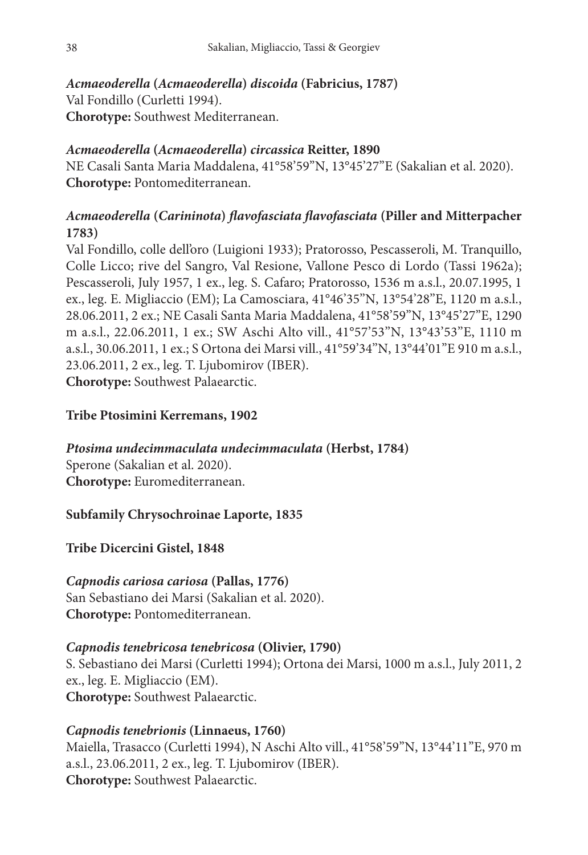### *Acmaeoderella* **(***Acmaeoderella***)** *discoida* **(Fabricius, 1787)**

Val Fondillo (Curletti 1994). **Chorotype:** Southwest Mediterranean.

### *Acmaeoderella* **(***Acmaeoderella***)** *circassica* **Reitter, 1890**

NE Casali Santa Maria Maddalena, 41°58'59''N, 13°45'27''E (Sakalian et al. 2020). **Chorotype:** Pontomediterranean.

### *Acmaeoderella* **(***Carininota***)** *flavofasciata flavofasciata* **(Piller and Mitterpacher 1783)**

Val Fondillo, colle dell'oro (Luigioni 1933); Pratorosso, Pescasseroli, M. Tranquillo, Colle Licco; rive del Sangro, Val Resione, Vallone Pesco di Lordo (Tassi 1962a); Pescasseroli, July 1957, 1 ex., leg. S. Cafaro; Pratorosso, 1536 m a.s.l., 20.07.1995, 1 ex., leg. E. Migliaccio (EM); La Camosciara, 41°46'35''N, 13°54'28''E, 1120 m a.s.l., 28.06.2011, 2 ex.; NE Casali Santa Maria Maddalena, 41°58'59''N, 13°45'27''E, 1290 m a.s.l., 22.06.2011, 1 ex.; SW Aschi Alto vill., 41°57'53''N, 13°43'53''E, 1110 m a.s.l., 30.06.2011, 1 ex.; S Ortona dei Marsi vill., 41°59'34''N, 13°44'01''E 910 m a.s.l., 23.06.2011, 2 ex., leg. T. Ljubomirov (IBER). **Chorotype:** Southwest Palaearctic.

### **Tribe Ptosimini Kerremans, 1902**

*Ptosima undecimmaculata undecimmaculata* **(Herbst, 1784)** Sperone (Sakalian et al. 2020). **Chorotype:** Euromediterranean.

#### **Subfamily Chrysochroinae Laporte, 1835**

**Tribe Dicercini Gistel, 1848**

# *Capnodis cariosa cariosa* **(Pallas, 1776)**

San Sebastiano dei Marsi (Sakalian et al. 2020). **Chorotype:** Pontomediterranean.

### *Capnodis tenebricosa tenebricosa* **(Olivier, 1790)**

S. Sebastiano dei Marsi (Curletti 1994); Ortona dei Marsi, 1000 m a.s.l., July 2011, 2 ex., leg. E. Migliaccio (EM). **Chorotype:** Southwest Palaearctic.

### *Capnodis tenebrionis* **(Linnaeus, 1760)**

Maiella, Trasacco (Curletti 1994), N Aschi Alto vill., 41°58'59''N, 13°44'11''E, 970 m a.s.l., 23.06.2011, 2 ex., leg. T. Ljubomirov (IBER). **Chorotype:** Southwest Palaearctic.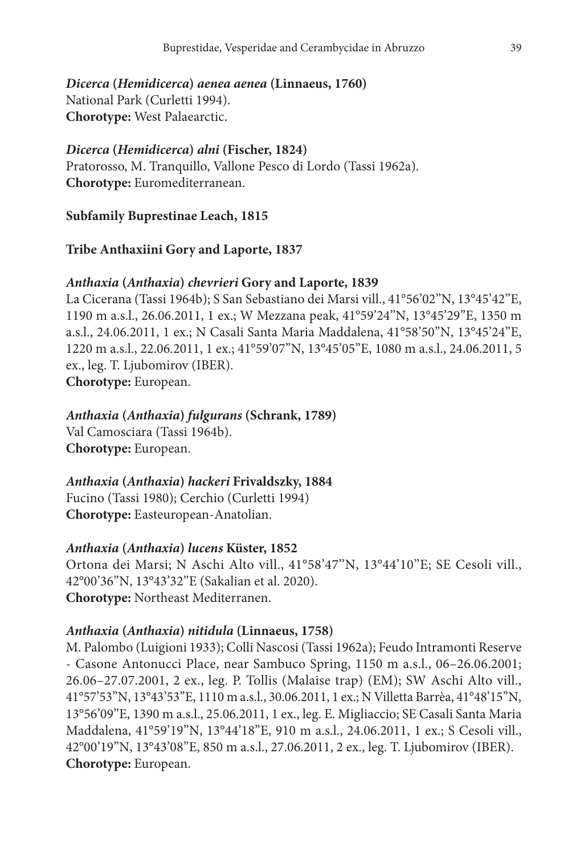*Dicerca* **(***Hemidicerca***)** *aenea aenea* **(Linnaeus, 1760)** National Park (Curletti 1994). **Chorotype:** West Palaearctic.

#### *Dicerca* **(***Hemidicerca***)** *alni* **(Fischer, 1824)**

Pratorosso, M. Tranquillo, Vallone Pesco di Lordo (Tassi 1962a). **Chorotype:** Euromediterranean.

#### **Subfamily Buprestinae Leach, 1815**

#### **Tribe Anthaxiini Gory and Laporte, 1837**

#### *Anthaxia* **(***Anthaxia***)** *chevrieri* **Gory and Laporte, 1839**

La Cicerana (Tassi 1964b); S San Sebastiano dei Marsi vill., 41°56'02''N, 13°45'42''E, 1190 m a.s.l., 26.06.2011, 1 ex.; W Mezzana peak, 41°59'24''N, 13°45'29''E, 1350 m a.s.l., 24.06.2011, 1 ex.; N Casali Santa Maria Maddalena, 41°58'50''N, 13°45'24''E, 1220 m a.s.l., 22.06.2011, 1 ex.; 41°59'07''N, 13°45'05''E, 1080 m a.s.l., 24.06.2011, 5 ex., leg. T. Ljubomirov (IBER). **Chorotype:** European.

#### *Anthaxia* **(***Anthaxia***)** *fulgurans* **(Schrank, 1789)**

Val Camosciara (Tassi 1964b). **Chorotype:** European.

#### *Anthaxia* **(***Anthaxia***)** *hackeri* **Frivaldszky, 1884**

Fucino (Tassi 1980); Cerchio (Curletti 1994) **Chorotype:** Easteuropean-Anatolian.

#### *Anthaxia* **(***Anthaxia***)** *lucens* **Küster, 1852**

Ortona dei Marsi; N Aschi Alto vill., 41°58'47"N, 13°44'10"E; SE Cesoli vill., 42°00'36''N, 13°43'32''E (Sakalian et al. 2020). **Chorotype:** Northeast Mediterranen.

#### *Anthaxia* **(***Anthaxia***)** *nitidula* **(Linnaeus, 1758)**

M. Palombo (Luigioni 1933); Colli Nascosi (Tassi 1962a); Feudo Intramonti Reserve - Casone Antonucci Place, near Sambuco Spring, 1150 m a.s.l., 06–26.06.2001; 26.06–27.07.2001, 2 ex., leg. P. Tollis (Malaise trap) (EM); SW Aschi Alto vill., 41°57'53''N, 13°43'53''E, 1110 m a.s.l., 30.06.2011, 1 ex.; N Villetta Barrèa, 41°48'15''N, 13°56'09''E, 1390 m a.s.l., 25.06.2011, 1 ex., leg. E. Migliaccio; SE Casali Santa Maria Maddalena, 41°59'19''N, 13°44'18''E, 910 m a.s.l., 24.06.2011, 1 ex.; S Cesoli vill., 42°00'19''N, 13°43'08''E, 850 m a.s.l., 27.06.2011, 2 ex., leg. T. Ljubomirov (IBER). **Chorotype:** European.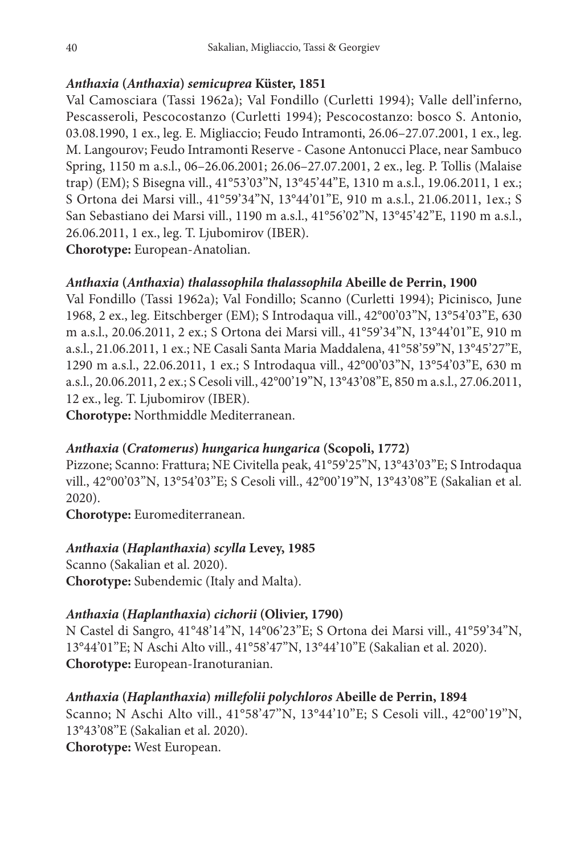### *Anthaxia* **(***Anthaxia***)** *semicuprea* **Küster, 1851**

Val Camosciara (Tassi 1962a); Val Fondillo (Curletti 1994); Valle dell'inferno, Pescasseroli, Pescocostanzo (Curletti 1994); Pescocostanzo: bosco S. Antonio, 03.08.1990, 1 ex., leg. E. Migliaccio; Feudo Intramonti, 26.06–27.07.2001, 1 ex., leg. M. Langourov; Feudo Intramonti Reserve - Casone Antonucci Place, near Sambuco Spring, 1150 m a.s.l., 06–26.06.2001; 26.06–27.07.2001, 2 ex., leg. P. Tollis (Malaise trap) (EM); S Bisegna vill., 41°53'03''N, 13°45'44''E, 1310 m a.s.l., 19.06.2011, 1 ex.; S Ortona dei Marsi vill., 41°59'34''N, 13°44'01''E, 910 m a.s.l., 21.06.2011, 1ex.; S San Sebastiano dei Marsi vill., 1190 m a.s.l., 41°56'02''N, 13°45'42''E, 1190 m a.s.l., 26.06.2011, 1 ex., leg. T. Ljubomirov (IBER). **Chorotype:** European-Anatolian.

### *Anthaxia* **(***Anthaxia***)** *thalassophila thalassophila* **Abeille de Perrin, 1900**

Val Fondillo (Tassi 1962a); Val Fondillo; Scanno (Curletti 1994); Picinisco, June 1968, 2 ex., leg. Eitschberger (EM); S Introdaqua vill., 42°00'03''N, 13°54'03''E, 630 m a.s.l., 20.06.2011, 2 ex.; S Ortona dei Marsi vill., 41°59'34''N, 13°44'01''E, 910 m a.s.l., 21.06.2011, 1 ex.; NE Casali Santa Maria Maddalena, 41°58'59''N, 13°45'27''E, 1290 m a.s.l., 22.06.2011, 1 ex.; S Introdaqua vill., 42°00'03''N, 13°54'03''E, 630 m a.s.l., 20.06.2011, 2 ex.; S Cesoli vill., 42°00'19''N, 13°43'08''E, 850 m a.s.l., 27.06.2011, 12 ex., leg. T. Ljubomirov (IBER).

**Chorotype:** Northmiddle Mediterranean.

### *Anthaxia* **(***Cratomerus***)** *hungarica hungarica* **(Scopoli, 1772)**

Pizzone; Scanno: Frattura; NE Civitella peak, 41°59'25''N, 13°43'03''E; S Introdaqua vill., 42°00'03''N, 13°54'03''E; S Cesoli vill., 42°00'19''N, 13°43'08''E (Sakalian et al. 2020).

**Chorotype:** Euromediterranean.

### *Anthaxia* **(***Haplanthaxia***)** *scylla* **Levey, 1985**

Scanno (Sakalian et al. 2020). **Chorotype:** Subendemic (Italy and Malta).

### *Anthaxia* **(***Haplanthaxia***)** *cichorii* **(Olivier, 1790)**

N Castel di Sangro, 41°48'14''N, 14°06'23''E; S Ortona dei Marsi vill., 41°59'34''N, 13°44'01''E; N Aschi Alto vill., 41°58'47''N, 13°44'10''E (Sakalian et al. 2020). **Chorotype:** European-Iranoturanian.

### *Anthaxia* **(***Haplanthaxia***)** *millefolii polychloros* **Abeille de Perrin, 1894**

Scanno; N Aschi Alto vill., 41°58'47''N, 13°44'10''E; S Cesoli vill., 42°00'19''N, 13°43'08''E (Sakalian et al. 2020). **Chorotype:** West European.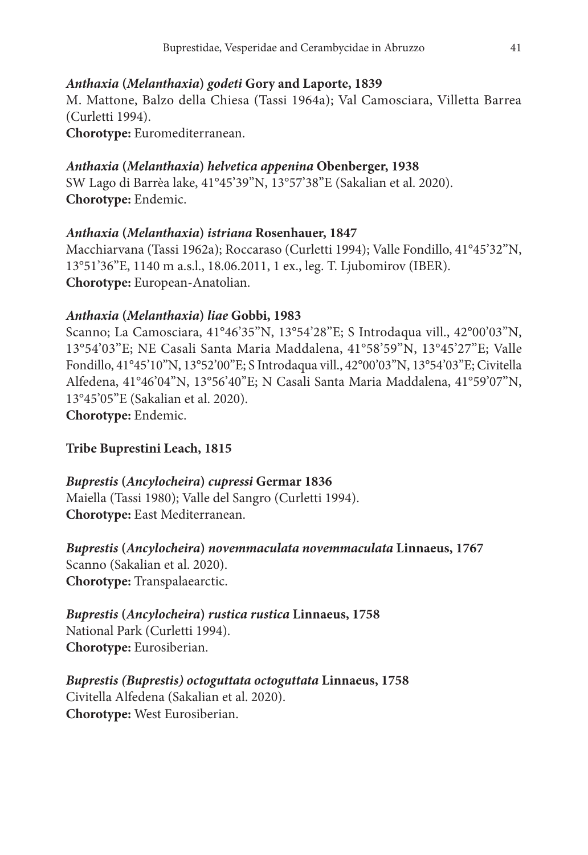### *Anthaxia* **(***Melanthaxia***)** *godeti* **Gory and Laporte, 1839**

M. Mattone, Balzo della Chiesa (Tassi 1964a); Val Camosciara, Villetta Barrea (Curletti 1994).

**Chorotype:** Euromediterranean.

### *Anthaxia* **(***Melanthaxia***)** *helvetica appenina* **Obenberger, 1938**

SW Lago di Barrèa lake, 41°45'39''N, 13°57'38''E (Sakalian et al. 2020). **Chorotype:** Endemic.

### *Anthaxia* **(***Melanthaxia***)** *istriana* **Rosenhauer, 1847**

Macchiarvana (Tassi 1962a); Roccaraso (Curletti 1994); Valle Fondillo, 41°45'32''N, 13°51'36''E, 1140 m a.s.l., 18.06.2011, 1 ex., leg. T. Ljubomirov (IBER). **Chorotype:** European-Anatolian.

### *Anthaxia* **(***Melanthaxia***)** *liae* **Gobbi, 1983**

Scanno; La Camosciara, 41°46'35''N, 13°54'28''E; S Introdaqua vill., 42°00'03''N, 13°54'03''E; NE Casali Santa Maria Maddalena, 41°58'59''N, 13°45'27''E; Valle Fondillo, 41°45'10''N, 13°52'00''E; S Introdaqua vill., 42°00'03''N, 13°54'03''E; Civitella Alfedena, 41°46'04''N, 13°56'40''E; N Casali Santa Maria Maddalena, 41°59'07''N, 13°45'05''E (Sakalian et al. 2020).

### **Chorotype:** Endemic.

### **Tribe Buprestini Leach, 1815**

### *Buprestis* **(***Ancylocheira***)** *cupressi* **Germar 1836**

Maiella (Tassi 1980); Valle del Sangro (Curletti 1994). **Chorotype:** East Mediterranean.

*Buprestis* **(***Ancylocheira***)** *novemmaculata novemmaculata* **Linnaeus, 1767** Scanno (Sakalian et al. 2020).

# **Chorotype:** Transpalaearctic.

## *Buprestis* **(***Ancylocheira***)** *rustica rustica* **Linnaeus, 1758**

National Park (Curletti 1994). **Chorotype:** Eurosiberian.

### *Buprestis (Buprestis) octoguttata octoguttata* **Linnaeus, 1758** Civitella Alfedena (Sakalian et al. 2020). **Chorotype:** West Eurosiberian.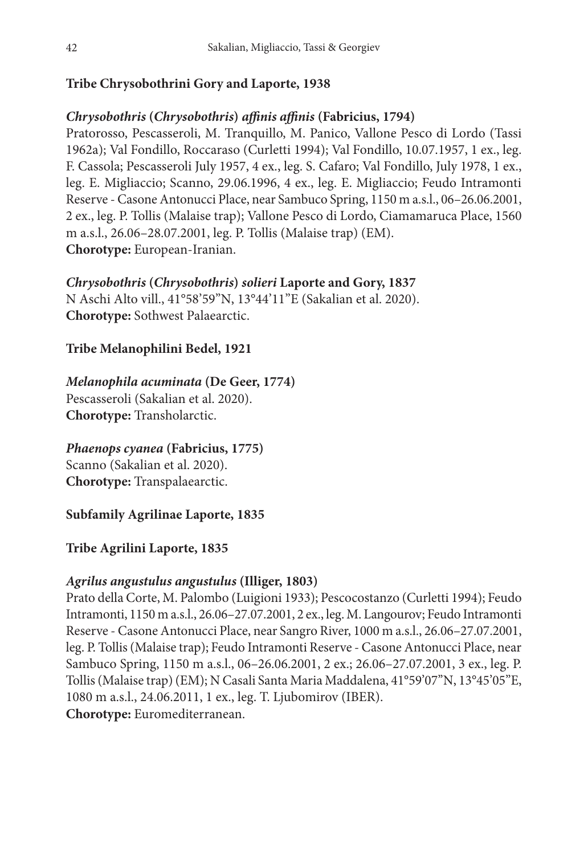### **Tribe Chrysobothrini Gory and Laporte, 1938**

### *Chrysobothris* **(***Chrysobothris***)** *affinis affinis* **(Fabricius, 1794)**

Pratorosso, Pescasseroli, M. Tranquillo, M. Panico, Vallone Pesco di Lordo (Tassi 1962a); Val Fondillo, Roccaraso (Curletti 1994); Val Fondillo, 10.07.1957, 1 ex., leg. F. Cassola; Pescasseroli July 1957, 4 ex., leg. S. Cafaro; Val Fondillo, July 1978, 1 ex., leg. E. Migliaccio; Scanno, 29.06.1996, 4 ex., leg. E. Migliaccio; Feudo Intramonti Reserve - Casone Antonucci Place, near Sambuco Spring, 1150 m a.s.l., 06–26.06.2001, 2 ex., leg. P. Tollis (Malaise trap); Vallone Pesco di Lordo, Ciamamaruca Place, 1560 m a.s.l., 26.06–28.07.2001, leg. P. Tollis (Malaise trap) (EM). **Chorotype:** European-Iranian.

### *Chrysobothris* **(***Chrysobothris***)** *solieri* **Laporte and Gory, 1837**

N Aschi Alto vill., 41°58'59''N, 13°44'11''E (Sakalian et al. 2020). **Chorotype:** Sothwest Palaearctic.

### **Tribe Melanophilini Bedel, 1921**

### *Melanophila acuminata* **(De Geer, 1774)**

Pescasseroli (Sakalian et al. 2020). **Chorotype:** Transholarctic.

### *Phaenops cyanea* **(Fabricius, 1775)**

Scanno (Sakalian et al. 2020). **Chorotype:** Transpalaearctic.

### **Subfamily Agrilinae Laporte, 1835**

### **Tribe Agrilini Laporte, 1835**

### *Agrilus angustulus angustulus* **(Illiger, 1803)**

Prato della Corte, M. Palombo (Luigioni 1933); Pescocostanzo (Curletti 1994); Feudo Intramonti, 1150 m a.s.l., 26.06–27.07.2001, 2 ex., leg. M. Langourov; Feudo Intramonti Reserve - Casone Antonucci Place, near Sangro River, 1000 m a.s.l., 26.06–27.07.2001, leg. P. Tollis (Malaise trap); Feudo Intramonti Reserve - Casone Antonucci Place, near Sambuco Spring, 1150 m a.s.l., 06–26.06.2001, 2 ex.; 26.06–27.07.2001, 3 ex., leg. P. Tollis (Malaise trap) (EM); N Casali Santa Maria Maddalena, 41°59'07''N, 13°45'05''E, 1080 m a.s.l., 24.06.2011, 1 ex., leg. T. Ljubomirov (IBER).

**Chorotype:** Euromediterranean.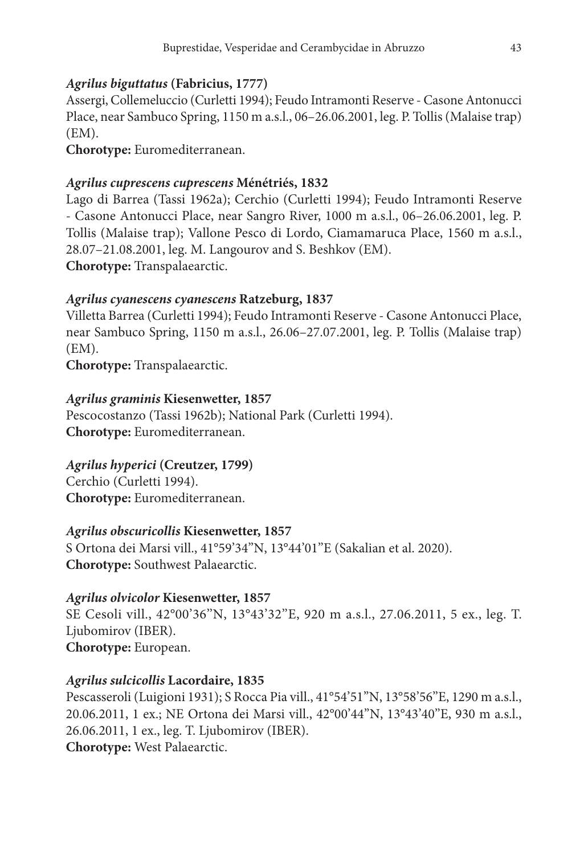### *Agrilus biguttatus* **(Fabricius, 1777)**

Assergi, Collemeluccio (Curletti 1994); Feudo Intramonti Reserve - Casone Antonucci Place, near Sambuco Spring, 1150 m a.s.l., 06–26.06.2001, leg. P. Tollis (Malaise trap) (EM).

**Chorotype:** Euromediterranean.

### *Agrilus cuprescens cuprescens* **Ménétriés, 1832**

Lago di Barrea (Tassi 1962a); Cerchio (Curletti 1994); Feudo Intramonti Reserve - Casone Antonucci Place, near Sangro River, 1000 m a.s.l., 06–26.06.2001, leg. P. Tollis (Malaise trap); Vallone Pesco di Lordo, Ciamamaruca Place, 1560 m a.s.l., 28.07–21.08.2001, leg. M. Langourov and S. Beshkov (EM). **Chorotype:** Transpalaearctic.

### *Agrilus cyanescens cyanescens* **Ratzeburg, 1837**

Villetta Barrea (Curletti 1994); Feudo Intramonti Reserve - Casone Antonucci Place, near Sambuco Spring, 1150 m a.s.l., 26.06–27.07.2001, leg. P. Tollis (Malaise trap) (EM).

**Chorotype:** Transpalaearctic.

### *Agrilus graminis* **Kiesenwetter, 1857**

Pescocostanzo (Tassi 1962b); National Park (Curletti 1994). **Chorotype:** Euromediterranean.

### *Agrilus hyperici* **(Creutzer, 1799)**

Cerchio (Curletti 1994). **Chorotype:** Euromediterranean.

### *Agrilus obscuricollis* **Kiesenwetter, 1857**

S Ortona dei Marsi vill., 41°59'34''N, 13°44'01''E (Sakalian et al. 2020). **Chorotype:** Southwest Palaearctic.

### *Agrilus olvicolor* **Kiesenwetter, 1857**

SE Cesoli vill., 42°00'36''N, 13°43'32''E, 920 m a.s.l., 27.06.2011, 5 ex., leg. T. Ljubomirov (IBER). **Chorotype:** European.

### *Agrilus sulcicollis* **Lacordaire, 1835**

Pescasseroli (Luigioni 1931); S Rocca Pia vill., 41°54'51''N, 13°58'56''E, 1290 m a.s.l., 20.06.2011, 1 ex.; NE Ortona dei Marsi vill., 42°00'44''N, 13°43'40''E, 930 m a.s.l., 26.06.2011, 1 ex., leg. T. Ljubomirov (IBER). **Chorotype:** West Palaearctic.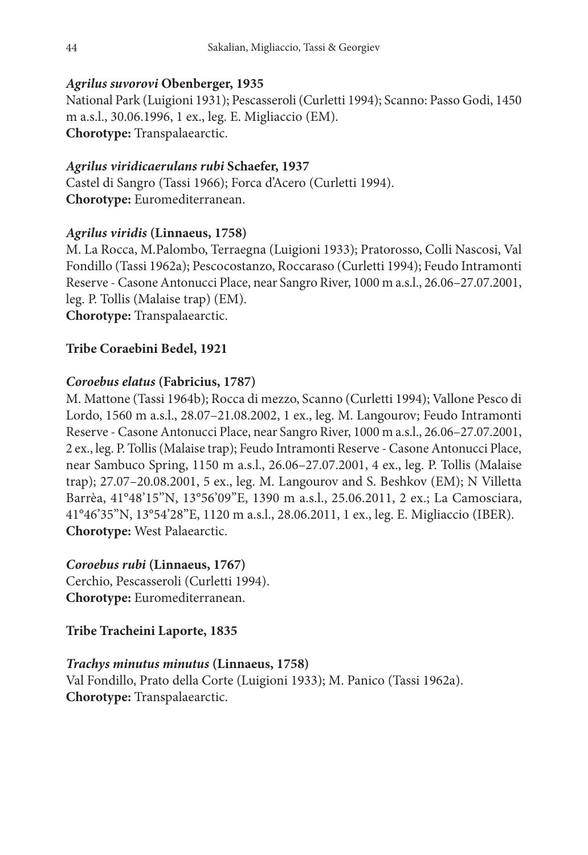### *Agrilus suvorovi* **Obenberger, 1935**

National Park (Luigioni 1931); Pescasseroli (Curletti 1994); Scanno: Passo Godi, 1450 m a.s.l., 30.06.1996, 1 ex., leg. E. Migliaccio (EM). **Chorotype:** Transpalaearctic.

### *Agrilus viridicaerulans rubi* **Schaefer, 1937**

Castel di Sangro (Tassi 1966); Forca d'Acero (Curletti 1994). **Chorotype:** Euromediterranean.

### *Agrilus viridis* **(Linnaeus, 1758)**

M. La Rocca, M.Palombo, Terraegna (Luigioni 1933); Pratorosso, Colli Nascosi, Val Fondillo (Tassi 1962a); Pescocostanzo, Roccaraso (Curletti 1994); Feudo Intramonti Reserve - Casone Antonucci Place, near Sangro River, 1000 m a.s.l., 26.06–27.07.2001, leg. P. Tollis (Malaise trap) (EM).

**Chorotype:** Transpalaearctic.

### **Tribe Coraebini Bedel, 1921**

### *Coroebus elatus* **(Fabricius, 1787)**

M. Mattone (Tassi 1964b); Rocca di mezzo, Scanno (Curletti 1994); Vallone Pesco di Lordo, 1560 m a.s.l., 28.07–21.08.2002, 1 ex., leg. M. Langourov; Feudo Intramonti Reserve - Casone Antonucci Place, near Sangro River, 1000 m a.s.l., 26.06–27.07.2001, 2 ex., leg. P. Tollis (Malaise trap); Feudo Intramonti Reserve - Casone Antonucci Place, near Sambuco Spring, 1150 m a.s.l., 26.06–27.07.2001, 4 ex., leg. P. Tollis (Malaise trap); 27.07–20.08.2001, 5 ex., leg. M. Langourov and S. Beshkov (EM); N Villetta Barrèa, 41°48'15''N, 13°56'09''E, 1390 m a.s.l., 25.06.2011, 2 ex.; La Camosciara, 41°46'35''N, 13°54'28''E, 1120 m a.s.l., 28.06.2011, 1 ex., leg. E. Migliaccio (IBER). **Chorotype:** West Palaearctic.

#### *Coroebus rubi* **(Linnaeus, 1767)**

Cerchio, Pescasseroli (Curletti 1994). **Chorotype:** Euromediterranean.

### **Tribe Tracheini Laporte, 1835**

### *Trachys minutus minutus* **(Linnaeus, 1758)**

Val Fondillo, Prato della Corte (Luigioni 1933); M. Panico (Tassi 1962a). **Chorotype:** Transpalaearctic.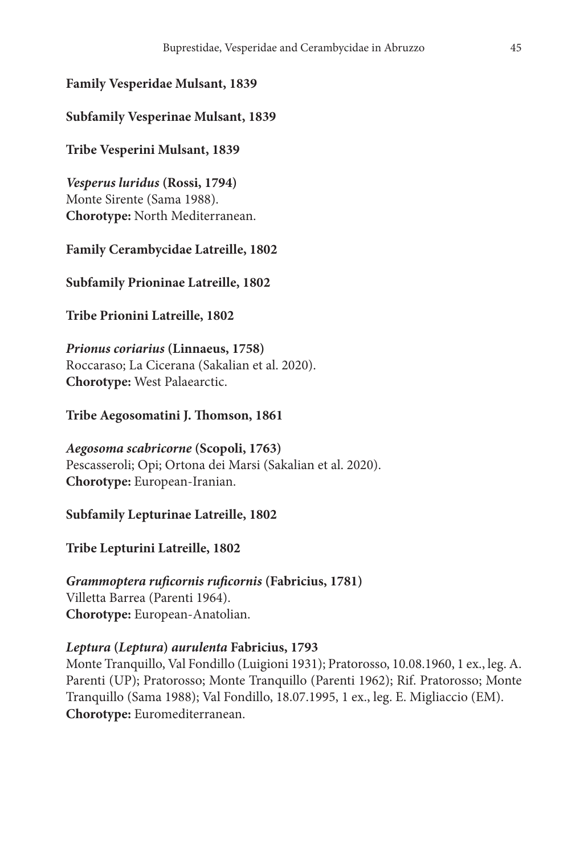### **Family Vesperidae Mulsant, 1839**

### **Subfamily Vesperinae Mulsant, 1839**

### **Tribe Vesperini Mulsant, 1839**

*Vesperus luridus* **(Rossi, 1794)** Monte Sirente (Sama 1988). **Chorotype:** North Mediterranean.

#### **Family Cerambycidae Latreille, 1802**

#### **Subfamily Prioninae Latreille, 1802**

### **Tribe Prionini Latreille, 1802**

*Prionus coriarius* **(Linnaeus, 1758)** Roccaraso; La Cicerana (Sakalian et al. 2020). **Chorotype:** West Palaearctic.

### **Tribe Aegosomatini J. Thomson, 1861**

*Aegosoma scabricorne* **(Scopoli, 1763)** Pescasseroli; Opi; Ortona dei Marsi (Sakalian et al. 2020). **Chorotype:** European-Iranian.

### **Subfamily Lepturinae Latreille, 1802**

#### **Tribe Lepturini Latreille, 1802**

### *Grammoptera ruficornis ruficornis* **(Fabricius, 1781)** Villetta Barrea (Parenti 1964). **Chorotype:** European-Anatolian.

#### *Leptura* **(***Leptura***)** *aurulenta* **Fabricius, 1793**

Monte Tranquillo, Val Fondillo (Luigioni 1931); Pratorosso, 10.08.1960, 1 ex., leg. A. Parenti (UP); Pratorosso; Monte Tranquillo (Parenti 1962); Rif. Pratorosso; Monte Tranquillo (Sama 1988); Val Fondillo, 18.07.1995, 1 ex., leg. E. Migliaccio (EM). **Chorotype:** Euromediterranean.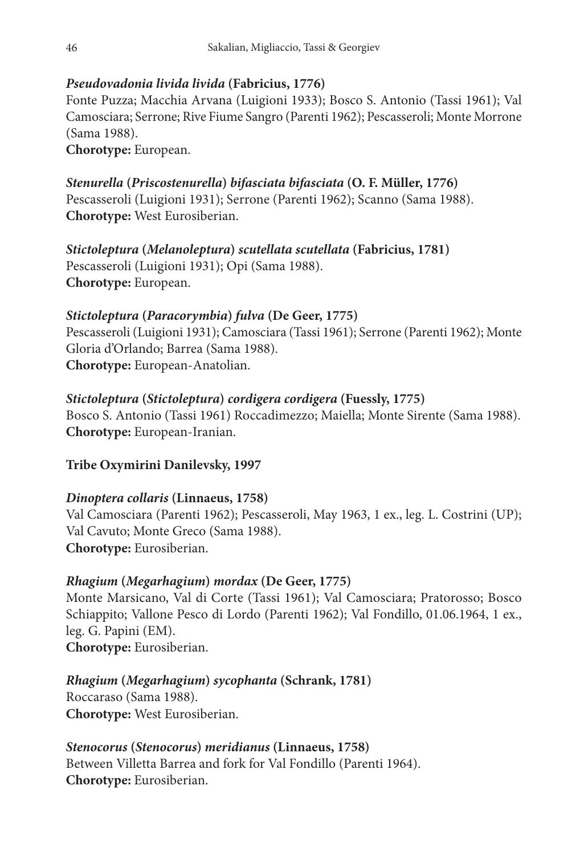### *Pseudovadonia livida livida* **(Fabricius, 1776)**

Fonte Puzza; Macchia Arvana (Luigioni 1933); Bosco S. Antonio (Tassi 1961); Val Camosciara; Serrone; Rive Fiume Sangro (Parenti 1962); Pescasseroli; Monte Morrone (Sama 1988).

**Chorotype:** European.

### *Stenurella* **(***Priscostenurella***)** *bifasciata bifasciata* **(O. F. Müller, 1776)**

Pescasseroli (Luigioni 1931); Serrone (Parenti 1962); Scanno (Sama 1988). **Chorotype:** West Eurosiberian.

*Stictoleptura* **(***Melanoleptura***)** *scutellata scutellata* **(Fabricius, 1781)** Pescasseroli (Luigioni 1931); Opi (Sama 1988). **Chorotype:** European.

### *Stictoleptura* **(***Paracorymbia***)** *fulva* **(De Geer, 1775)**

Pescasseroli (Luigioni 1931); Camosciara (Tassi 1961); Serrone (Parenti 1962); Monte Gloria d'Orlando; Barrea (Sama 1988). **Chorotype:** European-Anatolian.

### *Stictoleptura* **(***Stictoleptura***)** *cordigera cordigera* **(Fuessly, 1775)**

Bosco S. Antonio (Tassi 1961) Roccadimezzo; Maiella; Monte Sirente (Sama 1988). **Chorotype:** European-Iranian.

### **Tribe Oxymirini Danilevsky, 1997**

### *Dinoptera collaris* **(Linnaeus, 1758)**

Val Camosciara (Parenti 1962); Pescasseroli, May 1963, 1 ex., leg. L. Costrini (UP); Val Cavuto; Monte Greco (Sama 1988). **Chorotype:** Eurosiberian.

### *Rhagium* **(***Megarhagium***)** *mordax* **(De Geer, 1775)**

Monte Marsicano, Val di Corte (Tassi 1961); Val Camosciara; Pratorosso; Bosco Schiappito; Vallone Pesco di Lordo (Parenti 1962); Val Fondillo, 01.06.1964, 1 ex., leg. G. Papini (EM). **Chorotype:** Eurosiberian.

#### *Rhagium* **(***Megarhagium***)** *sycophanta* **(Schrank, 1781)** Roccaraso (Sama 1988).

**Chorotype:** West Eurosiberian.

### *Stenocorus* **(***Stenocorus***)** *meridianus* **(Linnaeus, 1758)**

Between Villetta Barrea and fork for Val Fondillo (Parenti 1964). **Chorotype:** Eurosiberian.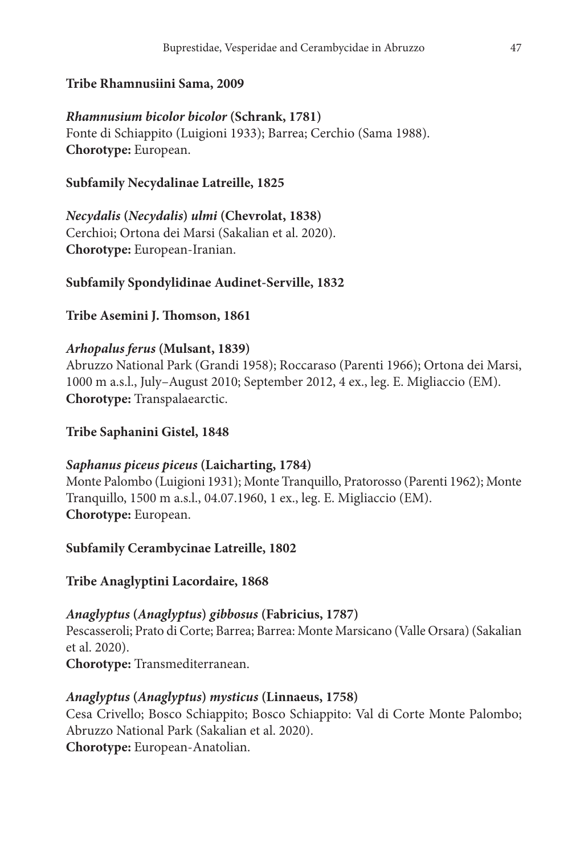#### **Tribe Rhamnusiini Sama, 2009**

### *Rhamnusium bicolor bicolor* **(Schrank, 1781)** Fonte di Schiappito (Luigioni 1933); Barrea; Cerchio (Sama 1988). **Chorotype:** European.

### **Subfamily Necydalinae Latreille, 1825**

*Necydalis* **(***Necydalis***)** *ulmi* **(Chevrolat, 1838)** Cerchioi; Ortona dei Marsi (Sakalian et al. 2020). **Chorotype:** European-Iranian.

#### **Subfamily Spondylidinae Audinet-Serville, 1832**

#### **Tribe Asemini J. Thomson, 1861**

#### *Arhopalus ferus* **(Mulsant, 1839)**

Abruzzo National Park (Grandi 1958); Roccaraso (Parenti 1966); Ortona dei Marsi, 1000 m a.s.l., July–August 2010; September 2012, 4 ex., leg. E. Migliaccio (EM). **Chorotype:** Transpalaearctic.

#### **Tribe Saphanini Gistel, 1848**

#### *Saphanus piceus piceus* **(Laicharting, 1784)**

Monte Palombo (Luigioni 1931); Monte Tranquillo, Pratorosso (Parenti 1962); Monte Tranquillo, 1500 m a.s.l., 04.07.1960, 1 ex., leg. E. Migliaccio (EM). **Chorotype:** European.

#### **Subfamily Cerambycinae Latreille, 1802**

#### **Tribe Anaglyptini Lacordaire, 1868**

#### *Anaglyptus* **(***Anaglyptus***)** *gibbosus* **(Fabricius, 1787)**

Pescasseroli; Prato di Corte; Barrea; Barrea: Monte Marsicano (Valle Orsara) (Sakalian et al. 2020).

**Chorotype:** Transmediterranean.

#### *Anaglyptus* **(***Anaglyptus***)** *mysticus* **(Linnaeus, 1758)**

Cesa Crivello; Bosco Schiappito; Bosco Schiappito: Val di Corte Monte Palombo; Abruzzo National Park (Sakalian et al. 2020). **Chorotype:** European-Anatolian.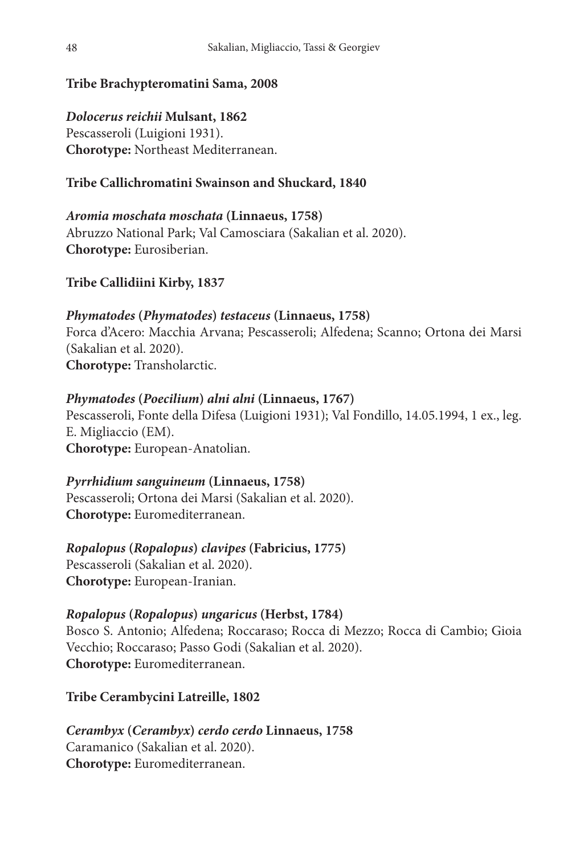### **Tribe Brachypteromatini Sama, 2008**

*Dolocerus reichii* **Mulsant, 1862** Pescasseroli (Luigioni 1931). **Chorotype:** Northeast Mediterranean.

### **Tribe Callichromatini Swainson and Shuckard, 1840**

### *Aromia moschata moschata* **(Linnaeus, 1758)** Abruzzo National Park; Val Camosciara (Sakalian et al. 2020). **Chorotype:** Eurosiberian.

### **Tribe Callidiini Kirby, 1837**

### *Phymatodes* **(***Phymatodes***)** *testaceus* **(Linnaeus, 1758)** Forca d'Acero: Macchia Arvana; Pescasseroli; Alfedena; Scanno; Ortona dei Marsi (Sakalian et al. 2020). **Chorotype:** Transholarctic.

#### *Phymatodes* **(***Poecilium***)** *alni alni* **(Linnaeus, 1767)**

Pescasseroli, Fonte della Difesa (Luigioni 1931); Val Fondillo, 14.05.1994, 1 ex., leg. E. Migliaccio (EM). **Chorotype:** European-Anatolian.

#### *Pyrrhidium sanguineum* **(Linnaeus, 1758)**

Pescasseroli; Ortona dei Marsi (Sakalian et al. 2020). **Chorotype:** Euromediterranean.

#### *Ropalopus* **(***Ropalopus***)** *clavipes* **(Fabricius, 1775)**

Pescasseroli (Sakalian et al. 2020). **Chorotype:** European-Iranian.

#### *Ropalopus* **(***Ropalopus***)** *ungaricus* **(Herbst, 1784)**

Bosco S. Antonio; Alfedena; Roccaraso; Rocca di Mezzo; Rocca di Cambio; Gioia Vecchio; Roccaraso; Passo Godi (Sakalian et al. 2020). **Chorotype:** Euromediterranean.

### **Tribe Cerambycini Latreille, 1802**

*Cerambyx* **(***Cerambyx***)** *cerdo cerdo* **Linnaeus, 1758** Caramanico (Sakalian et al. 2020). **Chorotype:** Euromediterranean.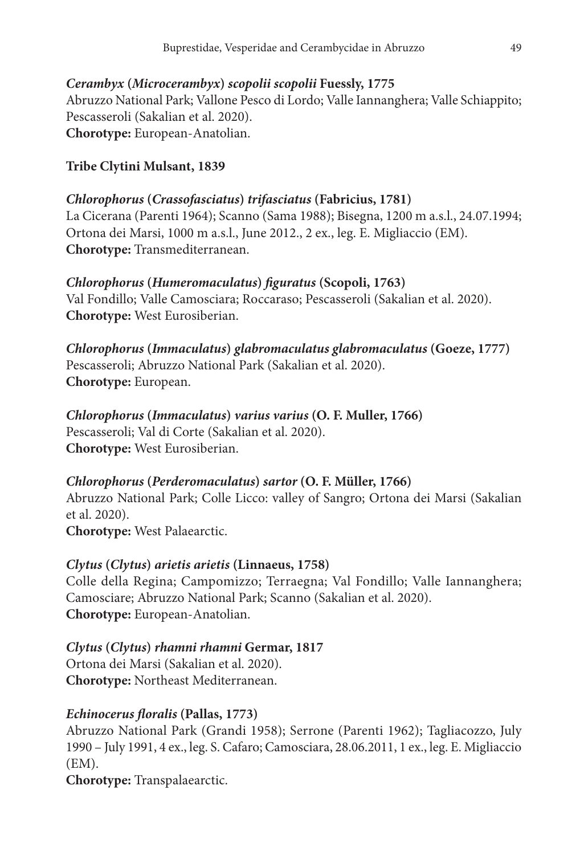### *Cerambyx* **(***Microcerambyx***)** *scopolii scopolii* **Fuessly, 1775**

Abruzzo National Park; Vallone Pesco di Lordo; Valle Iannanghera; Valle Schiappito; Pescasseroli (Sakalian et al. 2020). **Chorotype:** European-Anatolian.

### **Tribe Clytini Mulsant, 1839**

### *Chlorophorus* **(***Crassofasciatus***)** *trifasciatus* **(Fabricius, 1781)**

La Cicerana (Parenti 1964); Scanno (Sama 1988); Bisegna, 1200 m a.s.l., 24.07.1994; Ortona dei Marsi, 1000 m a.s.l., June 2012., 2 ex., leg. E. Migliaccio (EM). **Chorotype:** Transmediterranean.

### *Chlorophorus* **(***Humeromaculatus***)** *figuratus* **(Scopoli, 1763)**

Val Fondillo; Valle Camosciara; Roccaraso; Pescasseroli (Sakalian et al. 2020). **Chorotype:** West Eurosiberian.

*Chlorophorus* **(***Immaculatus***)** *glabromaculatus glabromaculatus* **(Goeze, 1777)** Pescasseroli; Abruzzo National Park (Sakalian et al. 2020). **Chorotype:** European.

#### *Chlorophorus* **(***Immaculatus***)** *varius varius* **(O. F. Muller, 1766)** Pescasseroli; Val di Corte (Sakalian et al. 2020).

**Chorotype:** West Eurosiberian.

### *Chlorophorus* **(***Perderomaculatus***)** *sartor* **(O. F. Müller, 1766)**

Abruzzo National Park; Colle Licco: valley of Sangro; Ortona dei Marsi (Sakalian et al. 2020).

**Chorotype:** West Palaearctic.

### *Clytus* **(***Clytus***)** *arietis arietis* **(Linnaeus, 1758)**

Colle della Regina; Campomizzo; Terraegna; Val Fondillo; Valle Iannanghera; Camosciare; Abruzzo National Park; Scanno (Sakalian et al. 2020). **Chorotype:** European-Anatolian.

### *Clytus* **(***Clytus***)** *rhamni rhamni* **Germar, 1817**

Ortona dei Marsi (Sakalian et al. 2020). **Chorotype:** Northeast Mediterranean.

### *Echinocerus floralis* **(Pallas, 1773)**

Abruzzo National Park (Grandi 1958); Serrone (Parenti 1962); Tagliacozzo, July 1990 – July 1991, 4 ex., leg. S. Cafaro; Camosciara, 28.06.2011, 1 ex., leg. E. Migliaccio (EM).

**Chorotype:** Transpalaearctic.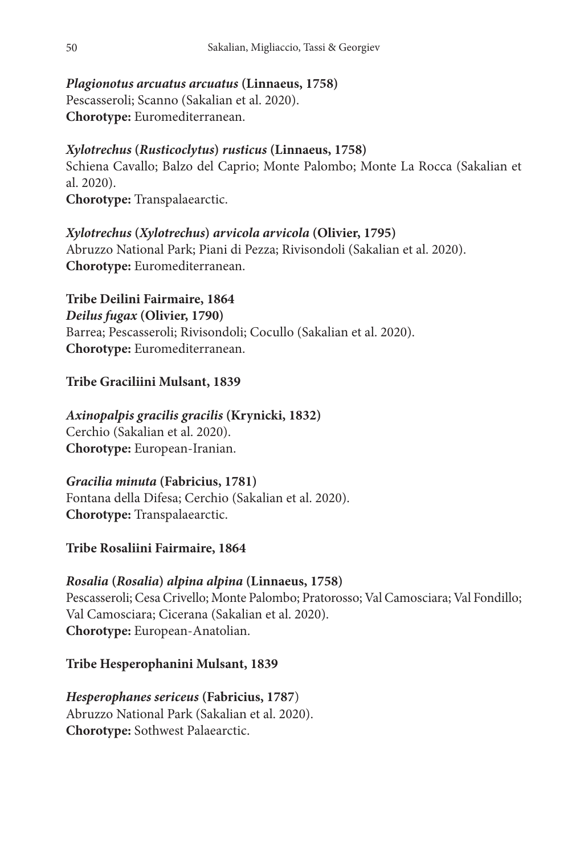### *Plagionotus arcuatus arcuatus* **(Linnaeus, 1758)**

Pescasseroli; Scanno (Sakalian et al. 2020). **Chorotype:** Euromediterranean.

### *Xylotrechus* **(***Rusticoclytus***)** *rusticus* **(Linnaeus, 1758)**

Schiena Cavallo; Balzo del Caprio; Monte Palombo; Monte La Rocca (Sakalian et al. 2020).

**Chorotype:** Transpalaearctic.

### *Xylotrechus* **(***Xylotrechus***)** *arvicola arvicola* **(Olivier, 1795)**

Abruzzo National Park; Piani di Pezza; Rivisondoli (Sakalian et al. 2020). **Chorotype:** Euromediterranean.

**Tribe Deilini Fairmaire, 1864** *Deilus fugax* **(Olivier, 1790)** Barrea; Pescasseroli; Rivisondoli; Cocullo (Sakalian et al. 2020). **Chorotype:** Euromediterranean.

### **Tribe Graciliini Mulsant, 1839**

### *Axinopalpis gracilis gracilis* **(Krynicki, 1832)**

Cerchio (Sakalian et al. 2020). **Chorotype:** European-Iranian.

### *Gracilia minuta* **(Fabricius, 1781)**

Fontana della Difesa; Cerchio (Sakalian et al. 2020). **Chorotype:** Transpalaearctic.

### **Tribe Rosaliini Fairmaire, 1864**

### *Rosalia* **(***Rosalia***)** *alpina alpina* **(Linnaeus, 1758)**

Pescasseroli; Cesa Crivello; Monte Palombo; Pratorosso; Val Camosciara; Val Fondillo; Val Camosciara; Cicerana (Sakalian et al. 2020). **Chorotype:** European-Anatolian.

### **Tribe Hesperophanini Mulsant, 1839**

*Hesperophanes sericeus* **(Fabricius, 1787**) Abruzzo National Park (Sakalian et al. 2020). **Chorotype:** Sothwest Palaearctic.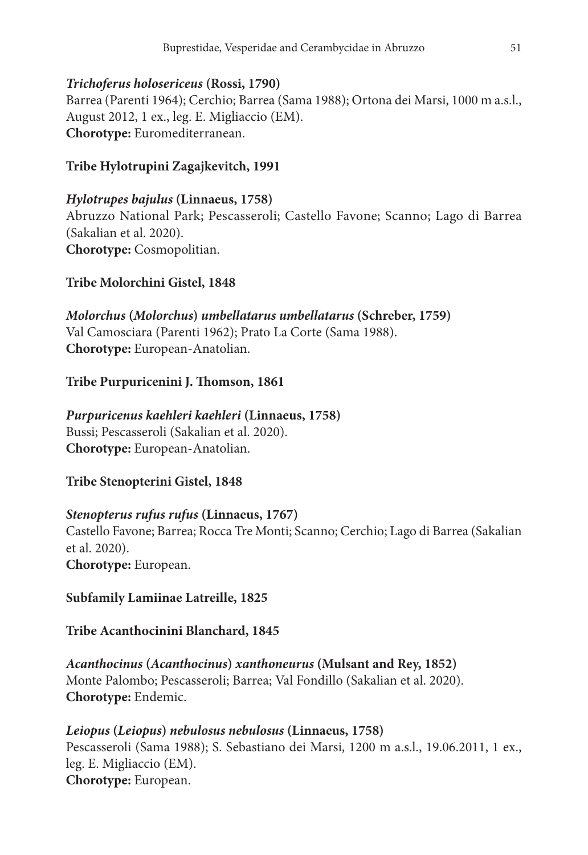### *Trichoferus holosericeus* **(Rossi, 1790)**

Barrea (Parenti 1964); Cerchio; Barrea (Sama 1988); Ortona dei Marsi, 1000 m a.s.l., August 2012, 1 ex., leg. E. Migliaccio (EM). **Chorotype:** Euromediterranean.

### **Tribe Hylotrupini Zagajkevitch, 1991**

### *Hylotrupes bajulus* **(Linnaeus, 1758)**

Abruzzo National Park; Pescasseroli; Castello Favone; Scanno; Lago di Barrea (Sakalian et al. 2020). **Chorotype:** Cosmopolitian.

### **Tribe Molorchini Gistel, 1848**

# *Molorchus* **(***Molorchus***)** *umbellatarus umbellatarus* **(Schreber, 1759)**

Val Camosciara (Parenti 1962); Prato La Corte (Sama 1988). **Chorotype:** European-Anatolian.

### **Tribe Purpuricenini J. Thomson, 1861**

### *Purpuricenus kaehleri kaehleri* **(Linnaeus, 1758)**

Bussi; Pescasseroli (Sakalian et al. 2020). **Chorotype:** European-Anatolian.

### **Tribe Stenopterini Gistel, 1848**

### *Stenopterus rufus rufus* **(Linnaeus, 1767)**

Castello Favone; Barrea; Rocca Tre Monti; Scanno; Cerchio; Lago di Barrea (Sakalian et al. 2020). **Chorotype:** European.

### **Subfamily Lamiinae Latreille, 1825**

### **Tribe Acanthocinini Blanchard, 1845**

*Acanthocinus* **(***Acanthocinus***)** *xanthoneurus* **(Mulsant and Rey, 1852)** Monte Palombo; Pescasseroli; Barrea; Val Fondillo (Sakalian et al. 2020). **Chorotype:** Endemic.

### *Leiopus* **(***Leiopus***)** *nebulosus nebulosus* **(Linnaeus, 1758)**

Pescasseroli (Sama 1988); S. Sebastiano dei Marsi, 1200 m a.s.l., 19.06.2011, 1 ex., leg. E. Migliaccio (EM). **Chorotype:** European.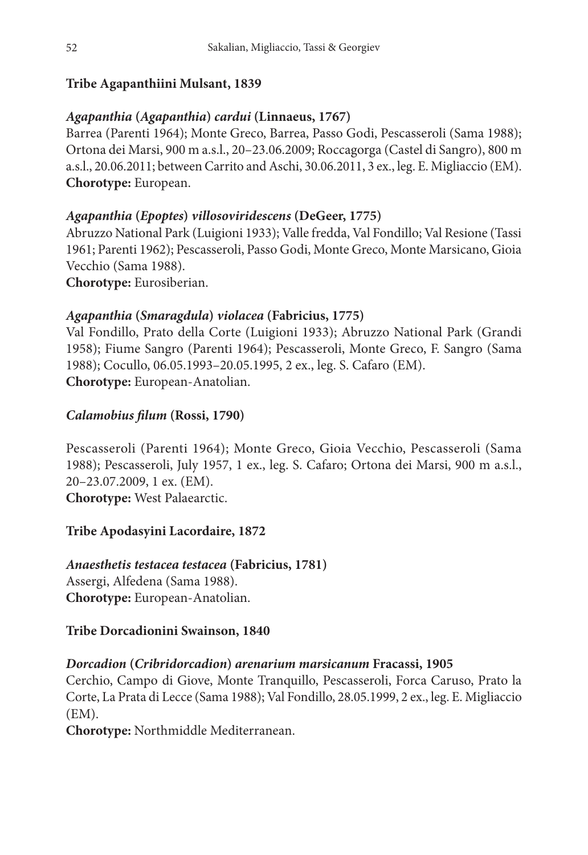### **Tribe Agapanthiini Mulsant, 1839**

### *Agapanthia* **(***Agapanthia***)** *cardui* **(Linnaeus, 1767)**

Barrea (Parenti 1964); Monte Greco, Barrea, Passo Godi, Pescasseroli (Sama 1988); Ortona dei Marsi, 900 m a.s.l., 20–23.06.2009; Roccagorga (Castel di Sangro), 800 m a.s.l., 20.06.2011; between Carrito and Aschi, 30.06.2011, 3 ex., leg. E. Migliaccio (EM). **Chorotype:** European.

### *Agapanthia* **(***Epoptes***)** *villosoviridescens* **(DeGeer, 1775)**

Abruzzo National Park (Luigioni 1933); Valle fredda, Val Fondillo; Val Resione (Tassi 1961; Parenti 1962); Pescasseroli, Passo Godi, Monte Greco, Monte Marsicano, Gioia Vecchio (Sama 1988).

**Chorotype:** Eurosiberian.

### *Agapanthia* **(***Smaragdula***)** *violacea* **(Fabricius, 1775)**

Val Fondillo, Prato della Corte (Luigioni 1933); Abruzzo National Park (Grandi 1958); Fiume Sangro (Parenti 1964); Pescasseroli, Monte Greco, F. Sangro (Sama 1988); Cocullo, 06.05.1993–20.05.1995, 2 ex., leg. S. Cafaro (EM). **Chorotype:** European-Anatolian.

### *Calamobius filum* **(Rossi, 1790)**

Pescasseroli (Parenti 1964); Monte Greco, Gioia Vecchio, Pescasseroli (Sama 1988); Pescasseroli, July 1957, 1 ex., leg. S. Cafaro; Ortona dei Marsi, 900 m a.s.l., 20–23.07.2009, 1 ex. (EM). **Chorotype:** West Palaearctic.

### **Tribe Apodasyini Lacordaire, 1872**

## *Anaesthetis testacea testacea* **(Fabricius, 1781)** Assergi, Alfedena (Sama 1988).

**Chorotype:** European-Anatolian.

### **Tribe Dorcadionini Swainson, 1840**

### *Dorcadion* **(***Cribridorcadion***)** *arenarium marsicanum* **Fracassi, 1905**

Cerchio, Campo di Giove, Monte Tranquillo, Pescasseroli, Forca Caruso, Prato la Corte, La Prata di Lecce (Sama 1988); Val Fondillo, 28.05.1999, 2 ex., leg. E. Migliaccio (EM).

**Chorotype:** Northmiddle Mediterranean.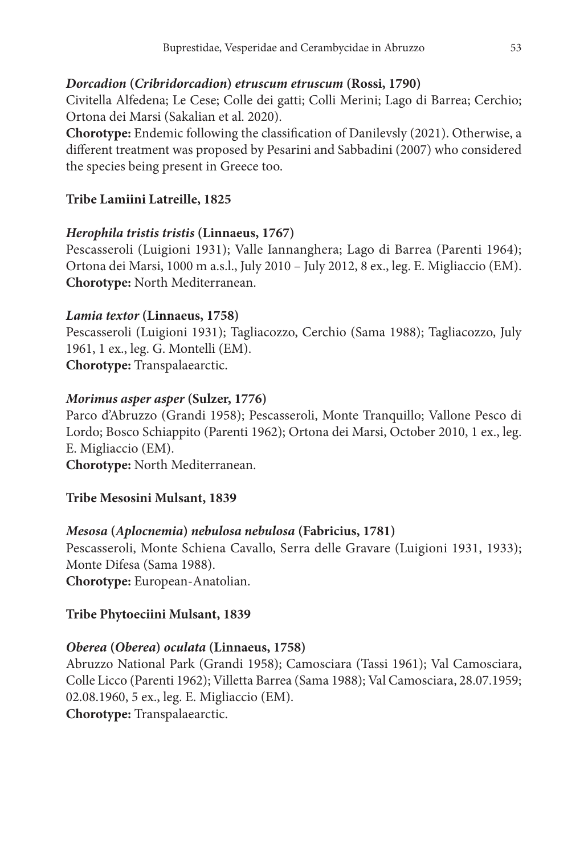### *Dorcadion* **(***Cribridorcadion***)** *etruscum etruscum* **(Rossi, 1790)**

Civitella Alfedena; Le Cese; Colle dei gatti; Colli Merini; Lago di Barrea; Cerchio; Ortona dei Marsi (Sakalian et al. 2020).

**Chorotype:** Endemic following the classification of Danilevsly (2021). Otherwise, a different treatment was proposed by Pesarini and Sabbadini (2007) who considered the species being present in Greece too.

### **Tribe Lamiini Latreille, 1825**

### *Herophila tristis tristis* **(Linnaeus, 1767)**

Pescasseroli (Luigioni 1931); Valle Iannanghera; Lago di Barrea (Parenti 1964); Ortona dei Marsi, 1000 m a.s.l., July 2010 – July 2012, 8 ex., leg. E. Migliaccio (EM). **Chorotype:** North Mediterranean.

### *Lamia textor* **(Linnaeus, 1758)**

Pescasseroli (Luigioni 1931); Tagliacozzo, Cerchio (Sama 1988); Tagliacozzo, July 1961, 1 ex., leg. G. Montelli (EM). **Chorotype:** Transpalaearctic.

### *Morimus asper asper* **(Sulzer, 1776)**

Parco d'Abruzzo (Grandi 1958); Pescasseroli, Monte Tranquillo; Vallone Pesco di Lordo; Bosco Schiappito (Parenti 1962); Ortona dei Marsi, October 2010, 1 ex., leg. E. Migliaccio (EM). **Chorotype:** North Mediterranean.

### **Tribe Mesosini Mulsant, 1839**

#### *Mesosa* **(***Aplocnemia***)** *nebulosa nebulosa* **(Fabricius, 1781)**

Pescasseroli, Monte Schiena Cavallo, Serra delle Gravare (Luigioni 1931, 1933); Monte Difesa (Sama 1988).

**Chorotype:** European-Anatolian.

### **Tribe Phytoeciini Mulsant, 1839**

### *Oberea* **(***Oberea***)** *oculata* **(Linnaeus, 1758)**

Abruzzo National Park (Grandi 1958); Camosciara (Tassi 1961); Val Camosciara, Colle Licco (Parenti 1962); Villetta Barrea (Sama 1988); Val Camosciara, 28.07.1959; 02.08.1960, 5 ex., leg. E. Migliaccio (EM). **Chorotype:** Transpalaearctic.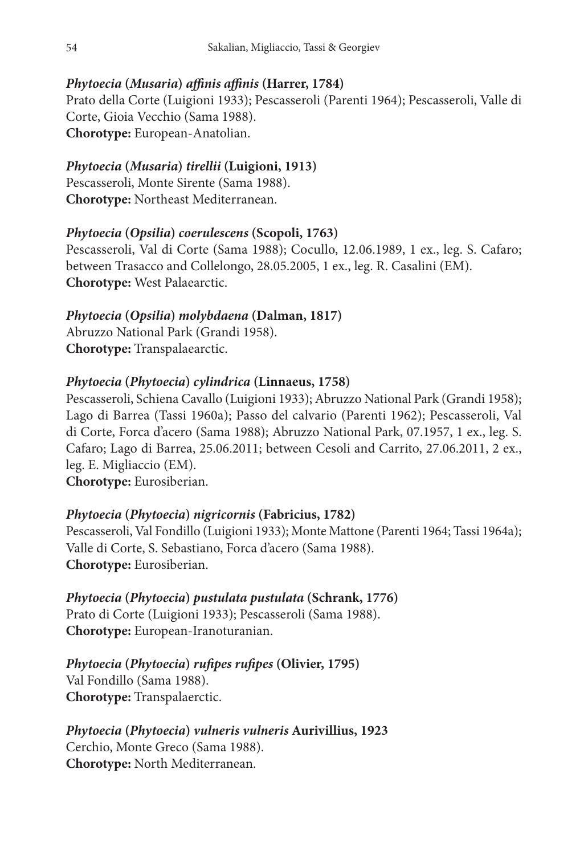### *Phytoecia* **(***Musaria***)** *affinis affinis* **(Harrer, 1784)**

Prato della Corte (Luigioni 1933); Pescasseroli (Parenti 1964); Pescasseroli, Valle di Corte, Gioia Vecchio (Sama 1988). **Chorotype:** European-Anatolian.

### *Phytoecia* **(***Musaria***)** *tirellii* **(Luigioni, 1913)**

Pescasseroli, Monte Sirente (Sama 1988). **Chorotype:** Northeast Mediterranean.

### *Phytoecia* **(***Opsilia***)** *coerulescens* **(Scopoli, 1763)**

Pescasseroli, Val di Corte (Sama 1988); Cocullo, 12.06.1989, 1 ex., leg. S. Cafaro; between Trasacco and Collelongo, 28.05.2005, 1 ex., leg. R. Casalini (EM). **Chorotype:** West Palaearctic.

### *Phytoecia* **(***Opsilia***)** *molybdaena* **(Dalman, 1817)**

Abruzzo National Park (Grandi 1958). **Chorotype:** Transpalaearctic.

### *Phytoecia* **(***Phytoecia***)** *cylindrica* **(Linnaeus, 1758)**

Pescasseroli, Schiena Cavallo (Luigioni 1933); Abruzzo National Park (Grandi 1958); Lago di Barrea (Tassi 1960a); Passo del calvario (Parenti 1962); Pescasseroli, Val di Corte, Forca d'acero (Sama 1988); Abruzzo National Park, 07.1957, 1 ex., leg. S. Cafaro; Lago di Barrea, 25.06.2011; between Cesoli and Carrito, 27.06.2011, 2 ex., leg. E. Migliaccio (EM). **Chorotype:** Eurosiberian.

### *Phytoecia* **(***Phytoecia***)** *nigricornis* **(Fabricius, 1782)**

Pescasseroli, Val Fondillo (Luigioni 1933); Monte Mattone (Parenti 1964; Tassi 1964a); Valle di Corte, S. Sebastiano, Forca d'acero (Sama 1988). **Chorotype:** Eurosiberian.

### *Phytoecia* **(***Phytoecia***)** *pustulata pustulata* **(Schrank, 1776)** Prato di Corte (Luigioni 1933); Pescasseroli (Sama 1988). **Chorotype:** European-Iranoturanian.

### *Phytoecia* **(***Phytoecia***)** *rufipes rufipes* **(Olivier, 1795)**

Val Fondillo (Sama 1988). **Chorotype:** Transpalaerctic.

#### *Phytoecia* **(***Phytoecia***)** *vulneris vulneris* **Aurivillius, 1923** Cerchio, Monte Greco (Sama 1988).

**Chorotype:** North Mediterranean.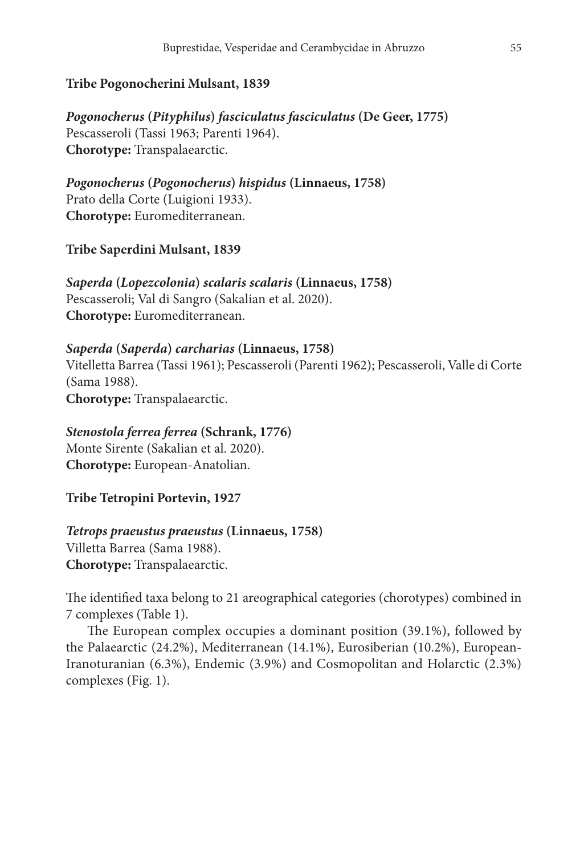#### **Tribe Pogonocherini Mulsant, 1839**

*Pogonocherus* **(***Pityphilus***)** *fasciculatus fasciculatus* **(De Geer, 1775)** Pescasseroli (Tassi 1963; Parenti 1964). **Chorotype:** Transpalaearctic.

*Pogonocherus* **(***Pogonocherus***)** *hispidus* **(Linnaeus, 1758)** Prato della Corte (Luigioni 1933). **Chorotype:** Euromediterranean.

**Tribe Saperdini Mulsant, 1839**

*Saperda* **(***Lopezcolonia***)** *scalaris scalaris* **(Linnaeus, 1758)** Pescasseroli; Val di Sangro (Sakalian et al. 2020). **Chorotype:** Euromediterranean.

#### *Saperda* **(***Saperda***)** *carcharias* **(Linnaeus, 1758)**

Vitelletta Barrea (Tassi 1961); Pescasseroli (Parenti 1962); Pescasseroli, Valle di Corte (Sama 1988). **Chorotype:** Transpalaearctic.

#### *Stenostola ferrea ferrea* **(Schrank, 1776)**

Monte Sirente (Sakalian et al. 2020). **Chorotype:** European-Anatolian.

**Tribe Tetropini Portevin, 1927**

#### *Tetrops praeustus praeustus* **(Linnaeus, 1758)**

Villetta Barrea (Sama 1988). **Chorotype:** Transpalaearctic.

The identified taxa belong to 21 areographical categories (chorotypes) combined in 7 complexes (Table 1).

The European complex occupies a dominant position (39.1%), followed by the Palaearctic (24.2%), Mediterranean (14.1%), Eurosiberian (10.2%), European-Iranoturanian (6.3%), Endemic (3.9%) and Cosmopolitan and Holarctic (2.3%) complexes (Fig. 1).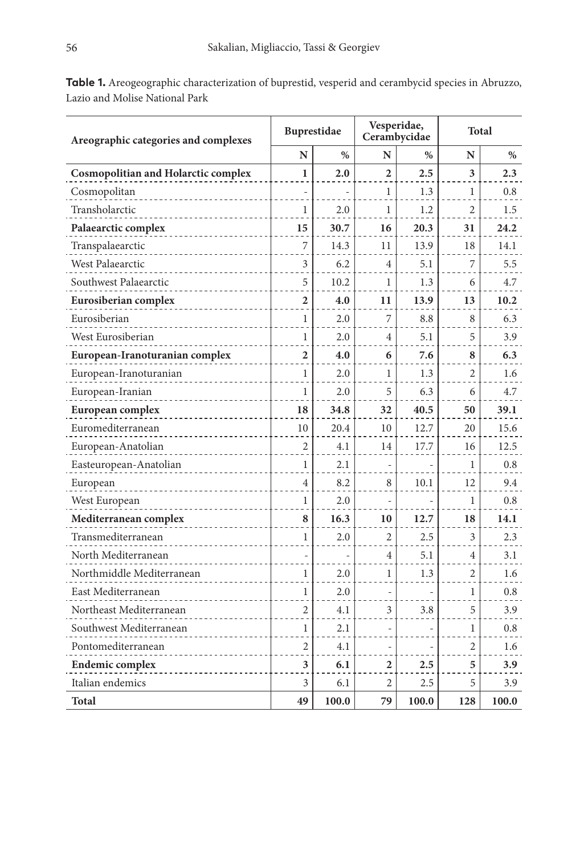| Areographic categories and complexes       | <b>Buprestidae</b> |       | Vesperidae,<br>Cerambycidae |       | Total          |       |
|--------------------------------------------|--------------------|-------|-----------------------------|-------|----------------|-------|
|                                            | N                  | $\%$  | N                           | $\%$  | N              | $\%$  |
| <b>Cosmopolitian and Holarctic complex</b> | 1                  | 2.0   | $\overline{2}$              | 2.5   | 3              | 2.3   |
| Cosmopolitan                               |                    |       | 1                           | 1.3   | 1              | 0.8   |
| Transholarctic                             | 1                  | 2.0   | 1                           | 1.2   | 2              | 1.5   |
| Palaearctic complex                        | 15                 | 30.7  | 16                          | 20.3  | 31             | 24.2  |
| Transpalaearctic                           | 7                  | 14.3  | 11                          | 13.9  | 18             | 14.1  |
| West Palaearctic                           | 3                  | 6.2   | $\overline{4}$              | 5.1   | 7              | 5.5   |
| Southwest Palaearctic                      | 5                  | 10.2  | 1                           | 1.3   | 6              | 4.7   |
| Eurosiberian complex                       | 2                  | 4.0   | 11                          | 13.9  | 13             | 10.2  |
| Eurosiberian                               | 1                  | 2.0   | 7                           | 8.8   | 8              | 6.3   |
| West Eurosiberian                          | 1                  | 2.0   | 4                           | 5.1   | 5              | 3.9   |
| European-Iranoturanian complex             | 2                  | 4.0   | 6                           | 7.6   | 8              | 6.3   |
| European-Iranoturanian                     | 1                  | 2.0   | 1                           | 1.3   | $\overline{c}$ | 1.6   |
| European-Iranian                           | 1                  | 2.0   | 5                           | 6.3   | 6              | 4.7   |
| European complex                           | 18                 | 34.8  | 32                          | 40.5  | 50             | 39.1  |
| Euromediterranean                          | 10                 | 20.4  | 10                          | 12.7  | 20             | 15.6  |
| European-Anatolian                         | 2                  | 4.1   | 14                          | 17.7  | 16             | 12.5  |
| Easteuropean-Anatolian                     | 1                  | 2.1   |                             |       | 1              | 0.8   |
| European                                   | 4                  | 8.2   | 8                           | 10.1  | 12             | 9.4   |
| West European                              | 1                  | 2.0   |                             |       | 1              | 0.8   |
| Mediterranean complex                      | 8                  | 16.3  | 10                          | 12.7  | 18             | 14.1  |
| Transmediterranean                         | 1                  | 2.0   | $\overline{2}$              | 2.5   | 3              | 2.3   |
| North Mediterranean                        |                    |       | 4                           | 5.1   | 4              | 3.1   |
| Northmiddle Mediterranean                  | 1                  | 2.0   | 1                           | 1.3   | 2              | 1.6   |
| East Mediterranean                         | 1                  | 2.0   |                             |       | 1              | 0.8   |
| Northeast Mediterranean                    | $\overline{2}$     | 4.1   | 3                           | 3.8   | 5              | 3.9   |
| Southwest Mediterranean                    | $\mathbf{1}$       | 2.1   |                             |       | 1              | 0.8   |
| Pontomediterranean                         | 2                  | 4.1   |                             |       | 2              | 1.6   |
| <b>Endemic complex</b>                     | 3                  | 6.1   | $\overline{2}$              | 2.5   | 5              | 3.9   |
| Italian endemics                           | 3                  | 6.1   | 2                           | 2.5   | 5              | 3.9   |
| Total                                      | 49                 | 100.0 | 79                          | 100.0 | 128            | 100.0 |

**Table 1.** Areogeographic characterization of buprestid, vesperid and cerambycid species in Abruzzo, Lazio and Molise National Park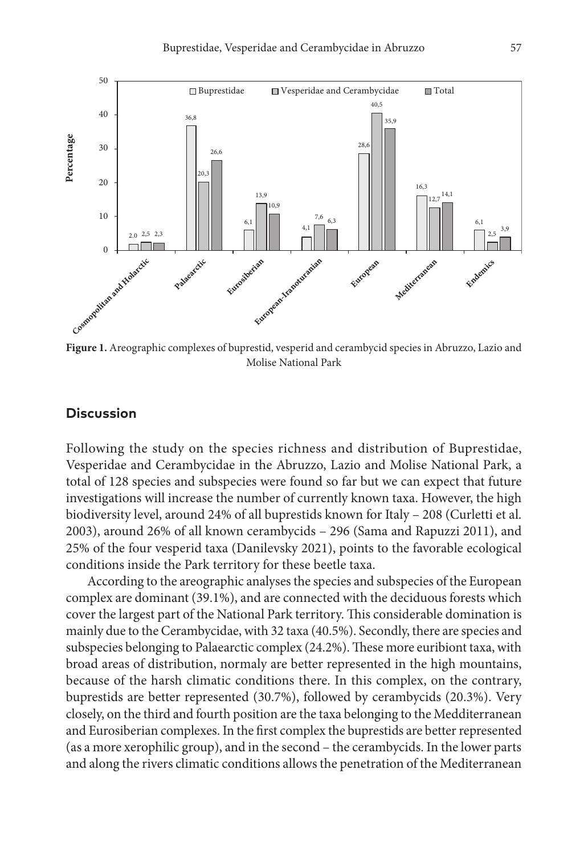

**Figure 1.** Areographic complexes of buprestid, vesperid and cerambycid species in Abruzzo, Lazio and Molise National Park

#### **Discussion**

Following the study on the species richness and distribution of Buprestidae, Vesperidae and Cerambycidae in the Abruzzo, Lazio and Molise National Park, a total of 128 species and subspecies were found so far but we can expect that future investigations will increase the number of currently known taxa. However, the high biodiversity level, around 24% of all buprestids known for Italy – 208 (Curletti et al. 2003), around 26% of all known cerambycids – 296 (Sama and Rapuzzi 2011), and 25% of the four vesperid taxa (Danilevsky 2021), points to the favorable ecological conditions inside the Park territory for these beetle taxa.

According to the areographic analyses the species and subspecies of the European complex are dominant (39.1%), and are connected with the deciduous forests which cover the largest part of the National Park territory. This considerable domination is mainly due to the Cerambycidae, with 32 taxa (40.5%). Secondly, there are species and subspecies belonging to Palaearctic complex (24.2%). These more euribiont taxa, with broad areas of distribution, normaly are better represented in the high mountains, because of the harsh climatic conditions there. In this complex, on the contrary, buprestids are better represented (30.7%), followed by cerambycids (20.3%). Very closely, on the third and fourth position are the taxa belonging to the Medditerranean and Eurosiberian complexes. In the first complex the buprestids are better represented (as a more xerophilic group), and in the second – the cerambycids. In the lower parts and along the rivers climatic conditions allows the penetration of the Mediterranean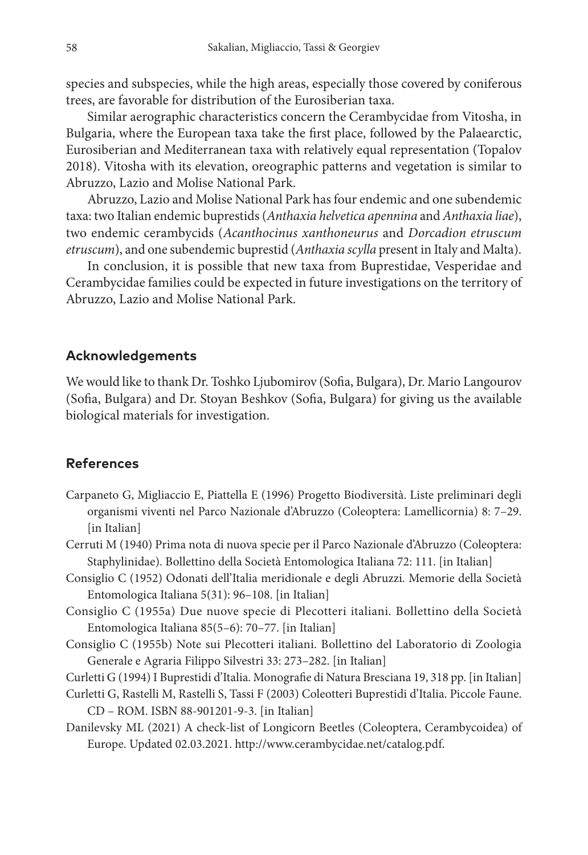species and subspecies, while the high areas, especially those covered by coniferous trees, are favorable for distribution of the Eurosiberian taxa.

Similar aerographic characteristics concern the Cerambycidae from Vitosha, in Bulgaria, where the European taxa take the first place, followed by the Palaearctic, Eurosiberian and Mediterranean taxa with relatively equal representation (Topalov 2018). Vitosha with its elevation, oreographic patterns and vegetation is similar to Abruzzo, Lazio and Molise National Park.

Abruzzo, Lazio and Molise National Park has four endemic and one subendemic taxa: two Italian endemic buprestids (*Anthaxia helvetica apennina* and *Anthaxia liae*), two endemic cerambycids (*Acanthocinus xanthoneurus* and *Dorcadion etruscum etruscum*), and one subendemic buprestid (*Anthaxia scylla* present in Italy and Malta).

In conclusion, it is possible that new taxa from Buprestidae, Vesperidae and Cerambycidae families could be expected in future investigations on the territory of Abruzzo, Lazio and Molise National Park.

#### **Acknowledgements**

We would like to thank Dr. Toshko Ljubomirov (Sofia, Bulgara), Dr. Mario Langourov (Sofia, Bulgara) and Dr. Stoyan Beshkov (Sofia, Bulgara) for giving us the available biological materials for investigation.

#### **References**

- Carpaneto G, Migliaccio E, Piattella E (1996) Progetto Biodiversità. Liste preliminari degli organismi viventi nel Parco Nazionale d'Abruzzo (Coleoptera: Lamellicornia) 8: 7–29. [in Italian]
- Cerruti M (1940) Prima nota di nuova specie per il Parco Nazionale d'Abruzzo (Coleoptera: Staphylinidae). Bollettino della Società Entomologica Italiana 72: 111. [in Italian]
- Consiglio C (1952) Odonati dell'Italia meridionale e degli Abruzzi. Memorie della Società Entomologica Italiana 5(31): 96–108. [in Italian]
- Consiglio C (1955a) Due nuove specie di Plecotteri italiani. Bollettino della Società Entomologica Italiana 85(5–6): 70–77. [in Italian]
- Consiglio C (1955b) Note sui Plecotteri italiani. Bollettino del Laboratorio di Zoologia Generale e Agraria Filippo Silvestri 33: 273–282. [in Italian]
- Curletti G (1994) I Buprestidi d'Italia. Monografie di Natura Bresciana 19, 318 pp. [in Italian]
- Curletti G, Rastelli M, Rastelli S, Tassi F (2003) Coleotteri Buprestidi d'Italia. Piccole Faune.

CD – ROM. ISBN 88-901201-9-3. [in Italian]

Danilevsky ML (2021) A check-list of Longicorn Beetles (Coleoptera, Cerambycoidea) of Europe. Updated 02.03.2021. [http://www.cerambycidae.net/catalog.pdf.](http://www.cerambycidae.net/catalog.pdf)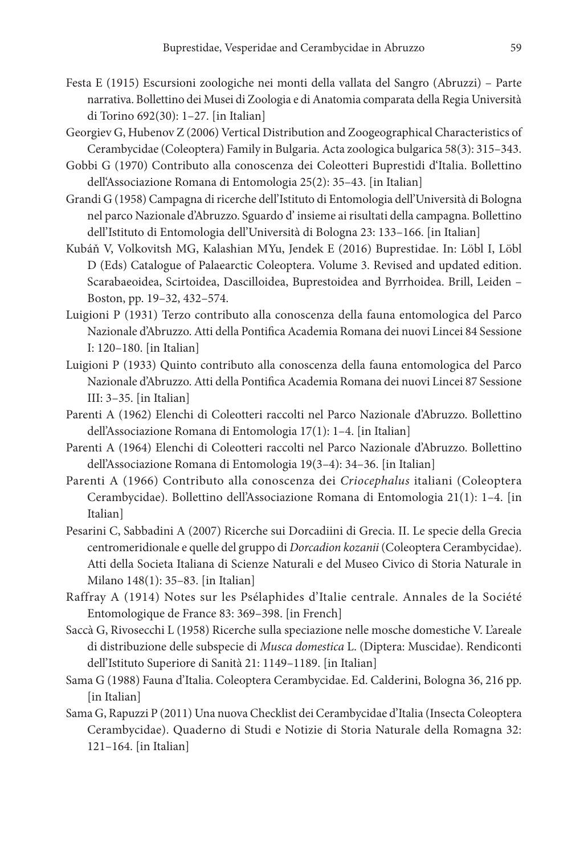- Festa E (1915) Escursioni zoologiche nei monti della vallata del Sangro (Abruzzi) Parte narrativa. Bollettino dei Musei di Zoologia e di Anatomia comparata della Regia Università di Torino 692(30): 1–27. [in Italian]
- Georgiev G, Hubenov Z (2006) Vertical Distribution and Zoogeographical Characteristics of Cerambycidae (Coleoptera) Family in Bulgaria. Acta zoologica bulgarica 58(3): 315–343.
- Gobbi G (1970) Contributo alla conoscenza dei Coleotteri Buprestidi d'Italia. Bollettino dell'Associazione Romana di Entomologia 25(2): 35–43. [in Italian]
- Grandi G (1958) Campagna di ricerche dell'Istituto di Entomologia dell'Università di Bologna nel parco Nazionale d'Abruzzo. Sguardo d' insieme ai risultati della campagna. Bollettino dell'Istituto di Entomologia dell'Università di Bologna 23: 133–166. [in Italian]
- Kubáň V, Volkovitsh MG, Kalashian MYu, Jendek E (2016) Buprestidae. In: Löbl I, Löbl D (Eds) Catalogue of Palaearctic Coleoptera. Volume 3. Revised and updated edition. Scarabaeoidea, Scirtoidea, Dascilloidea, Buprestoidea and Byrrhoidea. Brill, Leiden – Boston, pp. 19–32, 432–574.
- Luigioni P (1931) Terzo contributo alla conoscenza della fauna entomologica del Parco Nazionale d'Abruzzo. Atti della Pontifica Academia Romana dei nuovi Lincei 84 Sessione I: 120–180. [in Italian]
- Luigioni P (1933) Quinto contributo alla conoscenza della fauna entomologica del Parco Nazionale d'Abruzzo. Atti della Pontifica Academia Romana dei nuovi Lincei 87 Sessione III: 3–35. [in Italian]
- Parenti A (1962) Elenchi di Coleotteri raccolti nel Parco Nazionale d'Abruzzo. Bollettino dell'Associazione Romana di Entomologia 17(1): 1–4. [in Italian]
- Parenti A (1964) Elenchi di Coleotteri raccolti nel Parco Nazionale d'Abruzzo. Bollettino dell'Associazione Romana di Entomologia 19(3–4): 34–36. [in Italian]
- Parenti A (1966) Contributo alla conoscenza dei *Criocephalus* italiani (Coleoptera Cerambycidae). Bollettino dell'Associazione Romana di Entomologia 21(1): 1–4. [in Italian]
- Pesarini C, Sabbadini A (2007) Ricerche sui Dorcadiini di Grecia. II. Le specie della Grecia centromeridionale e quelle del gruppo di *Dorcadion kozanii* (Coleoptera Cerambycidae). Atti della Societa Italiana di Scienze Naturali e del Museo Civico di Storia Naturale in Milano 148(1): 35–83. [in Italian]
- Raffray A (1914) Notes sur les Psélaphides d'Italie centrale. Annales de la Société Entomologique de France 83: 369–398. [in French]
- Saccà G, Rivosecchi L (1958) Ricerche sulla speciazione nelle mosche domestiche V. L'areale di distribuzione delle subspecie di *Musca domestica* L. (Diptera: Muscidae). Rendiconti dell'Istituto Superiore di Sanità 21: 1149–1189. [in Italian]
- Sama G (1988) Fauna d'Italia. Coleoptera Cerambycidae. Ed. Calderini, Bologna 36, 216 pp. [in Italian]
- Sama G, Rapuzzi P (2011) Una nuova Checklist dei Cerambycidae d'Italia (Insecta Coleoptera Cerambycidae). Quaderno di Studi e Notizie di Storia Naturale della Romagna 32: 121–164. [in Italian]